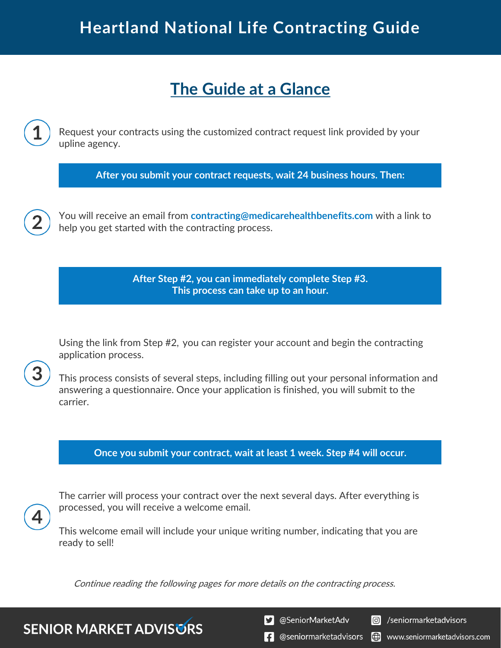# **Heartland National Life Contracting Guide**

### **The Guide at a Glance**

Request your contracts using the customized contract request link provided by your upline agency.

**After you submit your contract requests, wait 24 business hours. Then:**

You will receive an email from **contracting@medicarehealthbenefits.com** with a link to help you get started with the contracting process.

> **After Step #2, you can immediately complete Step #3. This process can take up to an hour.**

Using the link from Step #2, you can register your account and begin the contracting application process.

This process consists of several steps, including filling out your personal information and answering a questionnaire. Once your application is finished, you will submit to the carrier.

#### **Once you submit your contract, wait at least 1 week. Step #4 will occur.**



The carrier will process your contract over the next several days. After everything is processed, you will receive a welcome email.

This welcome email will include your unique writing number, indicating that you are ready to sell!

Continue reading the following pages for more details on the contracting process.

**SENIOR MARKET ADVISURS** 

S @SeniorMarketAdv

**o** /seniormarketadvisors

**f** @seniormarketadvisors (.) www.seniormarketadvisors.com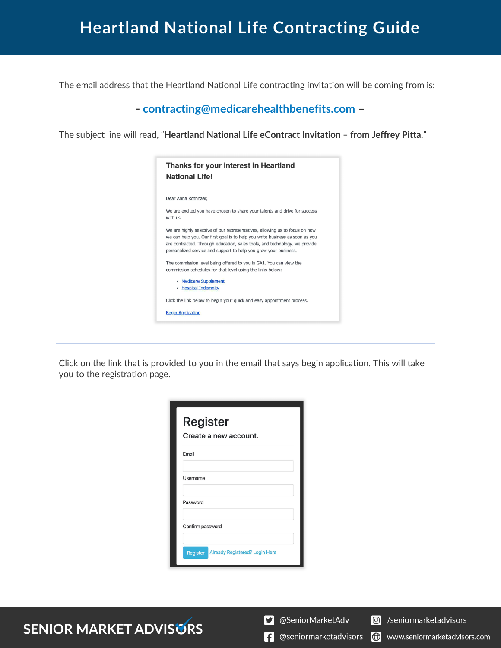## **Heartland National Life Contracting Guide**

The email address that the Heartland National Life contracting invitation will be coming from is:

**- contracting@medicarehealthbenefits.com –**

The subject line will read, "**Heartland National Life eContract Invitation – from Jeffrey Pitta.**"

| Thanks for your interest in Heartland<br><b>National Life!</b>                                                                                                                                                                                                                                                |
|---------------------------------------------------------------------------------------------------------------------------------------------------------------------------------------------------------------------------------------------------------------------------------------------------------------|
| Dear Anna Rothhaar,                                                                                                                                                                                                                                                                                           |
| We are excited you have chosen to share your talents and drive for success<br>with us.                                                                                                                                                                                                                        |
| We are highly selective of our representatives, allowing us to focus on how<br>we can help you. Our first goal is to help you write business as soon as you<br>are contracted. Through education, sales tools, and technology, we provide<br>personalized service and support to help you grow your business. |
| The commission level being offered to you is GA1. You can view the<br>commission schedules for that level using the links below:                                                                                                                                                                              |
| • Medicare Supplement<br>• Hospital Indemnity                                                                                                                                                                                                                                                                 |
| Click the link below to begin your quick and easy appointment process.                                                                                                                                                                                                                                        |
| <b>Begin Application</b>                                                                                                                                                                                                                                                                                      |
|                                                                                                                                                                                                                                                                                                               |

Click on the link that is provided to you in the email that says begin application. This will take you to the registration page.

| <b>Register</b>  | Create a new account.                 |  |
|------------------|---------------------------------------|--|
| Email            |                                       |  |
| Username         |                                       |  |
| Password         |                                       |  |
| Confirm password |                                       |  |
| Register         | <b>Already Registered? Login Here</b> |  |

**SENIOR MARKET ADVISURS** 

S @SeniorMarketAdv

(.) www.seniormarketadvisors.com